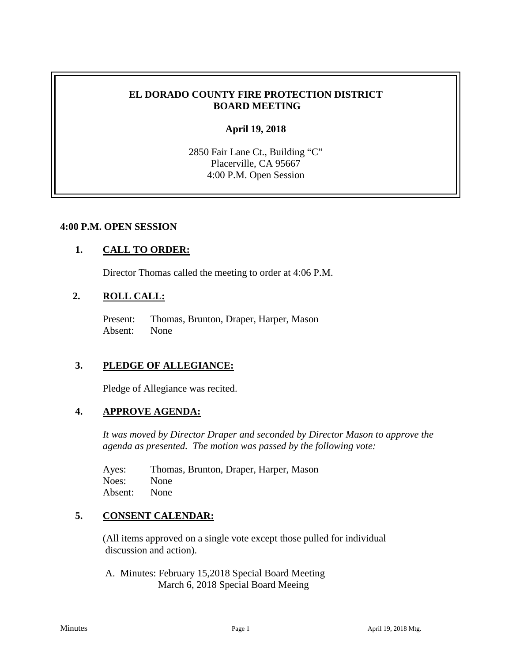## **EL DORADO COUNTY FIRE PROTECTION DISTRICT BOARD MEETING**

## **April 19, 2018**

2850 Fair Lane Ct., Building "C" Placerville, CA 95667 4:00 P.M. Open Session

### **4:00 P.M. OPEN SESSION**

### **1. CALL TO ORDER:**

Director Thomas called the meeting to order at 4:06 P.M.

# **2. ROLL CALL:**

Present: Thomas, Brunton, Draper, Harper, Mason Absent: None

## **3. PLEDGE OF ALLEGIANCE:**

Pledge of Allegiance was recited.

### **4. APPROVE AGENDA:**

*It was moved by Director Draper and seconded by Director Mason to approve the agenda as presented. The motion was passed by the following vote:*

Ayes: Thomas, Brunton, Draper, Harper, Mason Noes: None Absent: None

## **5. CONSENT CALENDAR:**

 (All items approved on a single vote except those pulled for individual discussion and action).

A. Minutes: February 15,2018 Special Board Meeting March 6, 2018 Special Board Meeing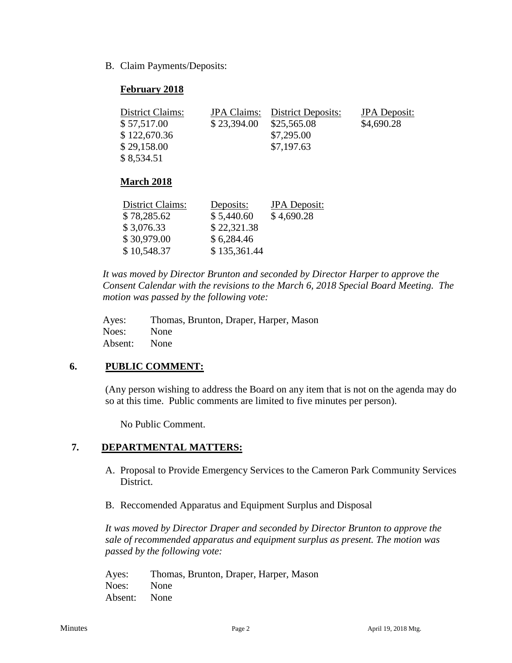B. Claim Payments/Deposits:

## **February 2018**

| District Claims:<br>\$57,517.00<br>\$122,670.36<br>\$29,158.00<br>\$8,534.51 | <b>JPA</b> Claims:<br>\$23,394.00 | <b>District Deposits:</b><br>\$25,565.08<br>\$7,295.00<br>\$7,197.63 | <b>JPA</b> Deposit:<br>\$4,690.28 |
|------------------------------------------------------------------------------|-----------------------------------|----------------------------------------------------------------------|-----------------------------------|
| <b>March 2018</b>                                                            |                                   |                                                                      |                                   |

| District Claims: | Deposits:    | <b>JPA</b> Deposit: |
|------------------|--------------|---------------------|
| \$78,285.62      | \$5,440.60   | \$4,690.28          |
| \$3,076.33       | \$22,321.38  |                     |
| \$30,979.00      | \$6,284.46   |                     |
| \$10,548.37      | \$135,361.44 |                     |

*It was moved by Director Brunton and seconded by Director Harper to approve the Consent Calendar with the revisions to the March 6, 2018 Special Board Meeting. The motion was passed by the following vote:*

| Ayes:   | Thomas, Brunton, Draper, Harper, Mason |
|---------|----------------------------------------|
| Noes:   | None                                   |
| Absent: | None                                   |

# **6. PUBLIC COMMENT:**

(Any person wishing to address the Board on any item that is not on the agenda may do so at this time. Public comments are limited to five minutes per person).

No Public Comment.

## **7. DEPARTMENTAL MATTERS:**

- A. Proposal to Provide Emergency Services to the Cameron Park Community Services District.
- B. Reccomended Apparatus and Equipment Surplus and Disposal

*It was moved by Director Draper and seconded by Director Brunton to approve the sale of recommended apparatus and equipment surplus as present. The motion was passed by the following vote:*

Ayes: Thomas, Brunton, Draper, Harper, Mason Noes: None Absent: None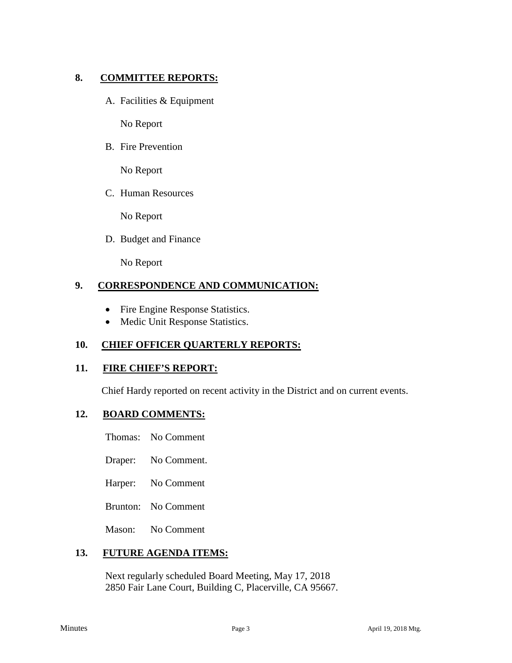## **8. COMMITTEE REPORTS:**

A. Facilities & Equipment

No Report

B. Fire Prevention

No Report

C. Human Resources

No Report

D. Budget and Finance

No Report

## **9. CORRESPONDENCE AND COMMUNICATION:**

- Fire Engine Response Statistics.
- Medic Unit Response Statistics.

## **10. CHIEF OFFICER QUARTERLY REPORTS:**

### **11. FIRE CHIEF'S REPORT:**

Chief Hardy reported on recent activity in the District and on current events.

### **12. BOARD COMMENTS:**

Thomas: No Comment

- Draper: No Comment.
- Harper: No Comment
- Brunton: No Comment

Mason: No Comment

### **13. FUTURE AGENDA ITEMS:**

Next regularly scheduled Board Meeting, May 17, 2018 2850 Fair Lane Court, Building C, Placerville, CA 95667.